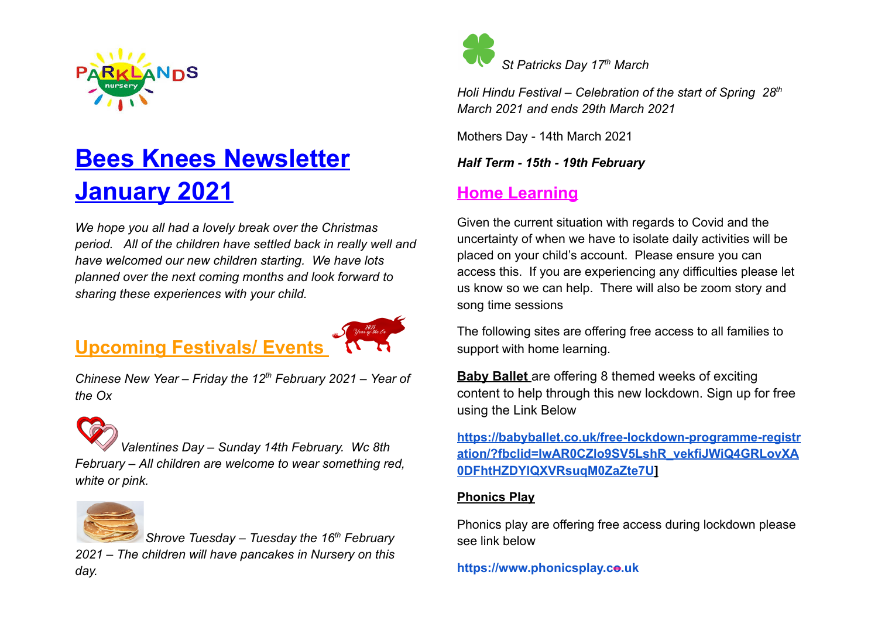

# **Bees Knees Newsletter January 2021**

*We hope you all had a lovely break over the Christmas period. All of the children have settled back in really well and have welcomed our new children starting. We have lots planned over the next coming months and look forward to sharing these experiences with your child.* 

## **Upcoming Festivals/ Events**



*Chinese New Year – Friday the 12 th February 2021 – Year of the Ox* 



*Valentines Day – Sunday 14th February. Wc 8th February – All children are welcome to wear something red, white or pink.* 



*Shrove Tuesday – Tuesday the 16<sup>th</sup> February 2021 – The children will have pancakes in Nursery on this day.* 



*Holi Hindu Festival – Celebration of the start of Spring 28<sup>th</sup> March 2021 and ends 29th March 2021* 

Mothers Day - 14th March 2021

*Half Term - 15th - 19th February* 

### **Home Learning**

Given the current situation with regards to Covid and the uncertainty of when we have to isolate daily activities will be placed on your child's account. Please ensure you can access this. If you are experiencing any difficulties please let us know so we can help. There will also be zoom story and song time sessions

The following sites are offering free access to all families to support with home learning.

**Baby Ballet** are offering 8 themed weeks of exciting content to help through this new lockdown. Sign up for free using the Link Below

**[https://babyballet.co.uk/free-lockdown-programme-registr](https://babyballet.co.uk/free-lockdown-programme-registration/?fbclid=IwAR0CZlo9SV5LshR_vekfiJWiQ4GRLovXA0DFhtHZDYlQXVRsuqM0ZaZte7U)  [ation/?fbclid=IwAR0CZlo9SV5LshR\\_vekfiJWiQ4GRLovXA](https://babyballet.co.uk/free-lockdown-programme-registration/?fbclid=IwAR0CZlo9SV5LshR_vekfiJWiQ4GRLovXA0DFhtHZDYlQXVRsuqM0ZaZte7U)  [0DFhtHZDYlQXVRsuqM0ZaZte7U](https://babyballet.co.uk/free-lockdown-programme-registration/?fbclid=IwAR0CZlo9SV5LshR_vekfiJWiQ4GRLovXA0DFhtHZDYlQXVRsuqM0ZaZte7U) ]** 

#### **Phonics Play**

Phonics play are offering free access during lockdown please see link below

https://www.phonicsplay.co.uk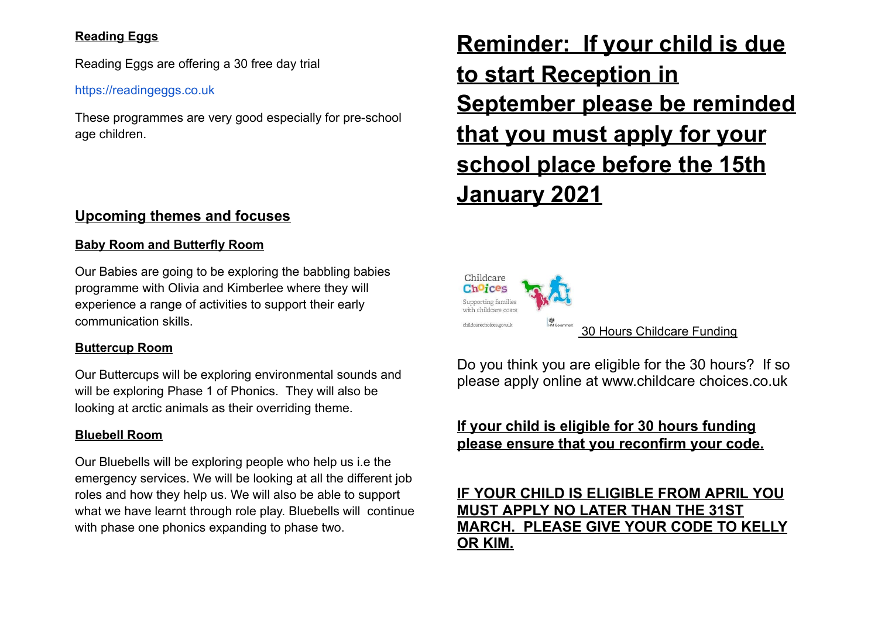#### **Reading Eggs**

Reading Eggs are offering a 30 free day trial

#### [https://readingeggs.co.uk](https://readingeggs.co.uk/)

These programmes are very good especially for pre-school age children.

#### **Upcoming themes and focuses**

#### **Baby Room and Butterfly Room**

Our Babies are going to be exploring the babbling babies programme with Olivia and Kimberlee where they will experience a range of activities to support their early communication skills.

#### **Buttercup Room**

Our Buttercups will be exploring environmental sounds and will be exploring Phase 1 of Phonics. They will also be looking at arctic animals as their overriding theme.

#### **Bluebell Room**

Our Bluebells will be exploring people who help us i.e the emergency services. We will be looking at all the different job roles and how they help us. We will also be able to support what we have learnt through role play. Bluebells will continue with phase one phonics expanding to phase two.

## **Reminder: If your child is due to start Reception in September please be reminded that you must apply for your school place before the 15th January 2021**



Do you think you are eligible for the 30 hours? If so please apply online at www.childcare choices.co.uk

### **If your child is eligible for 30 hours funding please ensure that you reconfirm your code.**

#### **IF YOUR CHILD IS ELIGIBLE FROM APRIL YOU MUST APPLY NO LATER THAN THE 31ST MARCH. PLEASE GIVE YOUR CODE TO KELLY OR KIM.**